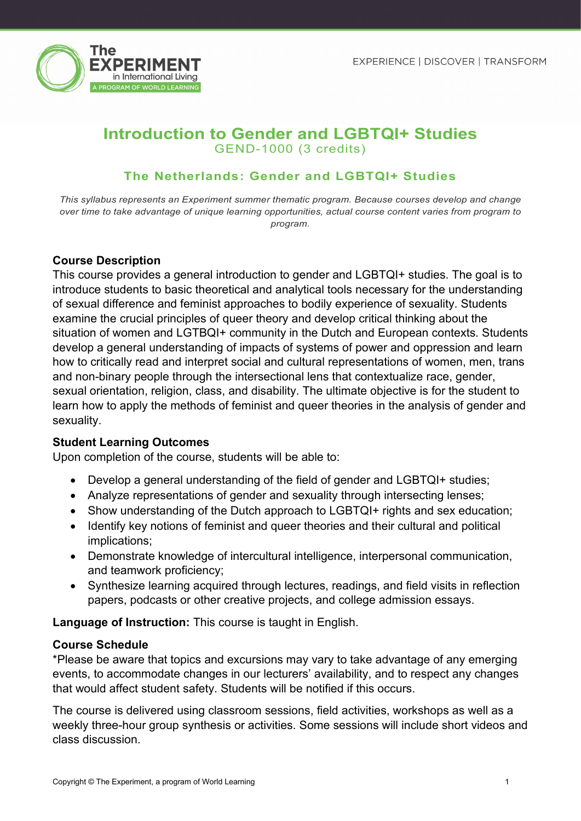

# **Introduction to Gender and LGBTQI+ Studies** GEND-1000 (3 credits)

## **The Netherlands: Gender and LGBTQI+ Studies**

*This syllabus represents an Experiment summer thematic program. Because courses develop and change over time to take advantage of unique learning opportunities, actual course content varies from program to program.*

### **Course Description**

This course provides a general introduction to gender and LGBTQI+ studies. The goal is to introduce students to basic theoretical and analytical tools necessary for the understanding of sexual difference and feminist approaches to bodily experience of sexuality. Students examine the crucial principles of queer theory and develop critical thinking about the situation of women and LGTBQI+ community in the Dutch and European contexts. Students develop a general understanding of impacts of systems of power and oppression and learn how to critically read and interpret social and cultural representations of women, men, trans and non-binary people through the intersectional lens that contextualize race, gender, sexual orientation, religion, class, and disability. The ultimate objective is for the student to learn how to apply the methods of feminist and queer theories in the analysis of gender and sexuality.

### **Student Learning Outcomes**

Upon completion of the course, students will be able to:

- Develop a general understanding of the field of gender and LGBTQI+ studies;
- Analyze representations of gender and sexuality through intersecting lenses;
- Show understanding of the Dutch approach to LGBTQI+ rights and sex education;
- Identify key notions of feminist and queer theories and their cultural and political implications;
- Demonstrate knowledge of intercultural intelligence, interpersonal communication, and teamwork proficiency;
- Synthesize learning acquired through lectures, readings, and field visits in reflection papers, podcasts or other creative projects, and college admission essays.

**Language of Instruction:** This course is taught in English.

### **Course Schedule**

\*Please be aware that topics and excursions may vary to take advantage of any emerging events, to accommodate changes in our lecturers' availability, and to respect any changes that would affect student safety. Students will be notified if this occurs.

The course is delivered using classroom sessions, field activities, workshops as well as a weekly three-hour group synthesis or activities. Some sessions will include short videos and class discussion.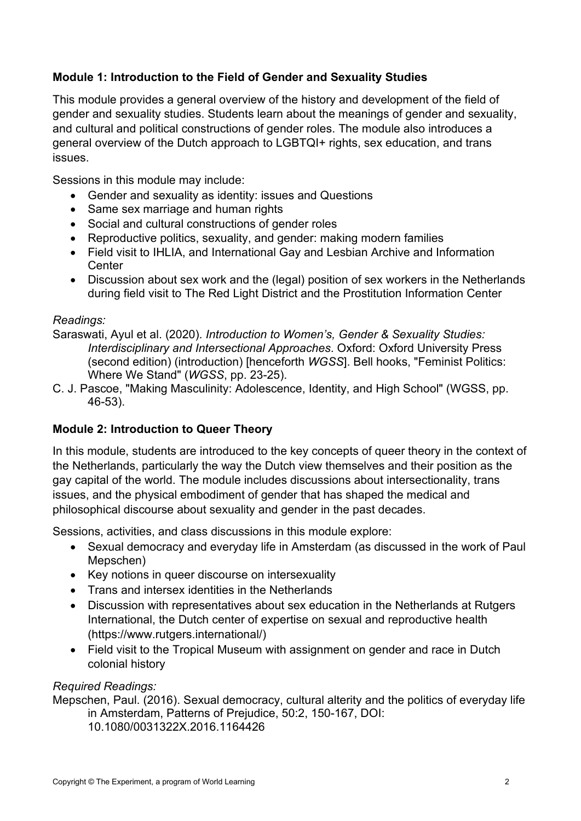# **Module 1: Introduction to the Field of Gender and Sexuality Studies**

This module provides a general overview of the history and development of the field of gender and sexuality studies. Students learn about the meanings of gender and sexuality, and cultural and political constructions of gender roles. The module also introduces a general overview of the Dutch approach to LGBTQI+ rights, sex education, and trans issues.

Sessions in this module may include:

- Gender and sexuality as identity: issues and Questions
- Same sex marriage and human rights
- Social and cultural constructions of gender roles
- Reproductive politics, sexuality, and gender: making modern families
- Field visit to IHLIA, and International Gay and Lesbian Archive and Information **Center**
- Discussion about sex work and the (legal) position of sex workers in the Netherlands during field visit to The Red Light District and the Prostitution Information Center

# *Readings:*

Saraswati, Ayul et al. (2020). *Introduction to Women's, Gender & Sexuality Studies: Interdisciplinary and Intersectional Approaches*. Oxford: Oxford University Press (second edition) (introduction) [henceforth *WGSS*]. Bell hooks, "Feminist Politics: Where We Stand" (*WGSS*, pp. 23-25).

C. J. Pascoe, "Making Masculinity: Adolescence, Identity, and High School" (WGSS, pp. 46-53).

# **Module 2: Introduction to Queer Theory**

In this module, students are introduced to the key concepts of queer theory in the context of the Netherlands, particularly the way the Dutch view themselves and their position as the gay capital of the world. The module includes discussions about intersectionality, trans issues, and the physical embodiment of gender that has shaped the medical and philosophical discourse about sexuality and gender in the past decades.

Sessions, activities, and class discussions in this module explore:

- Sexual democracy and everyday life in Amsterdam (as discussed in the work of Paul Mepschen)
- Key notions in queer discourse on intersexuality
- Trans and intersex identities in the Netherlands
- Discussion with representatives about sex education in the Netherlands at Rutgers International, the Dutch center of expertise on sexual and reproductive health (https://www.rutgers.international/)
- Field visit to the Tropical Museum with assignment on gender and race in Dutch colonial history

# *Required Readings:*

Mepschen, Paul. (2016). Sexual democracy, cultural alterity and the politics of everyday life in Amsterdam, Patterns of Prejudice, 50:2, 150-167, DOI:

10.1080/0031322X.2016.1164426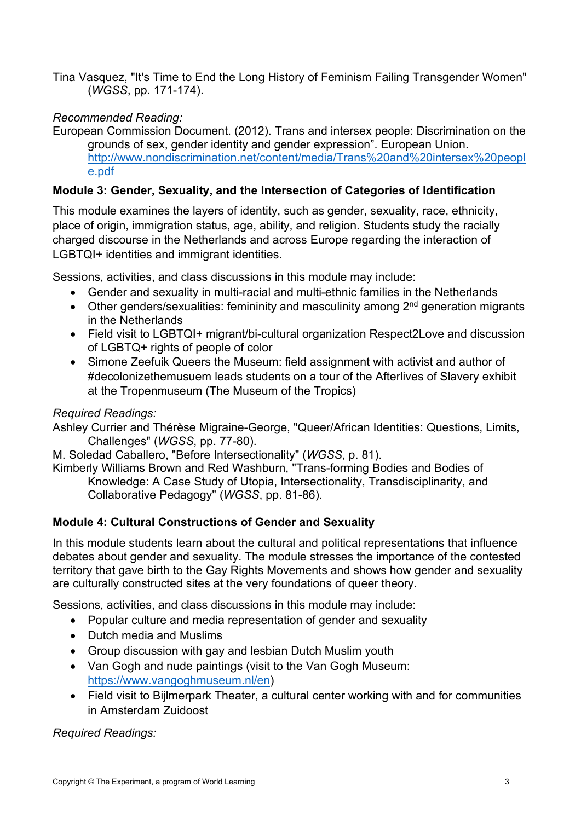Tina Vasquez, "It's Time to End the Long History of Feminism Failing Transgender Women" (*WGSS*, pp. 171-174).

# *Recommended Reading:*

European Commission Document. (2012). Trans and intersex people: Discrimination on the grounds of sex, gender identity and gender expression". European Union. [http://www.nondiscrimination.net/content/media/Trans%20and%20intersex%20peopl](http://www.nondiscrimination.net/content/media/Trans%20and%20intersex%20people.pdf) [e.pdf](http://www.nondiscrimination.net/content/media/Trans%20and%20intersex%20people.pdf)

# **Module 3: Gender, Sexuality, and the Intersection of Categories of Identification**

This module examines the layers of identity, such as gender, sexuality, race, ethnicity, place of origin, immigration status, age, ability, and religion. Students study the racially charged discourse in the Netherlands and across Europe regarding the interaction of LGBTQI+ identities and immigrant identities.

Sessions, activities, and class discussions in this module may include:

- Gender and sexuality in multi-racial and multi-ethnic families in the Netherlands
- Other genders/sexualities: femininity and masculinity among  $2<sup>nd</sup>$  generation migrants in the Netherlands
- Field visit to LGBTQI+ migrant/bi-cultural organization Respect2Love and discussion of LGBTQ+ rights of people of color
- Simone Zeefuik Queers the Museum: field assignment with activist and author of #decolonizethemusuem leads students on a tour of the Afterlives of Slavery exhibit at the Tropenmuseum (The Museum of the Tropics)

## *Required Readings:*

Ashley Currier and Thérèse Migraine-George, "Queer/African Identities: Questions, Limits, Challenges" (*WGSS*, pp. 77-80).

M. Soledad Caballero, "Before Intersectionality" (*WGSS*, p. 81).

Kimberly Williams Brown and Red Washburn, "Trans-forming Bodies and Bodies of Knowledge: A Case Study of Utopia, Intersectionality, Transdisciplinarity, and Collaborative Pedagogy" (*WGSS*, pp. 81-86).

# **Module 4: Cultural Constructions of Gender and Sexuality**

In this module students learn about the cultural and political representations that influence debates about gender and sexuality. The module stresses the importance of the contested territory that gave birth to the Gay Rights Movements and shows how gender and sexuality are culturally constructed sites at the very foundations of queer theory.

Sessions, activities, and class discussions in this module may include:

- Popular culture and media representation of gender and sexuality
- Dutch media and Muslims
- Group discussion with gay and lesbian Dutch Muslim youth
- Van Gogh and nude paintings (visit to the Van Gogh Museum: [https://www.vangoghmuseum.nl/en\)](https://www.vangoghmuseum.nl/en)
- Field visit to Bijlmerpark Theater, a cultural center working with and for communities in Amsterdam Zuidoost

*Required Readings:*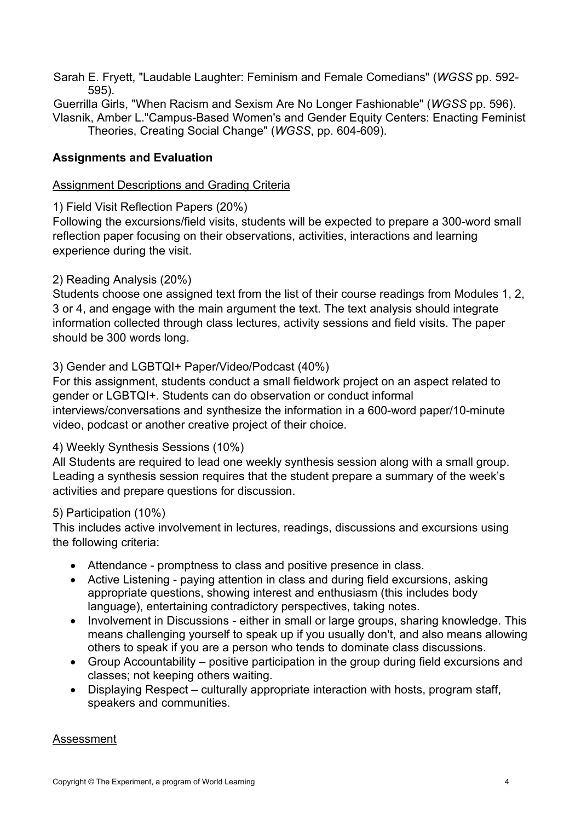- Sarah E. Fryett, "Laudable Laughter: Feminism and Female Comedians" (*WGSS* pp. 592- 595).
- Guerrilla Girls, "When Racism and Sexism Are No Longer Fashionable" (*WGSS* pp. 596). Vlasnik, Amber L."Campus-Based Women's and Gender Equity Centers: Enacting Feminist Theories, Creating Social Change" (*WGSS*, pp. 604-609).
- 

# **Assignments and Evaluation**

# Assignment Descriptions and Grading Criteria

# 1) Field Visit Reflection Papers (20%)

Following the excursions/field visits, students will be expected to prepare a 300-word small reflection paper focusing on their observations, activities, interactions and learning experience during the visit.

# 2) Reading Analysis (20%)

Students choose one assigned text from the list of their course readings from Modules 1, 2, 3 or 4, and engage with the main argument the text. The text analysis should integrate information collected through class lectures, activity sessions and field visits. The paper should be 300 words long.

# 3) Gender and LGBTQI+ Paper/Video/Podcast (40%)

For this assignment, students conduct a small fieldwork project on an aspect related to gender or LGBTQI+. Students can do observation or conduct informal interviews/conversations and synthesize the information in a 600-word paper/10-minute video, podcast or another creative project of their choice.

# 4) Weekly Synthesis Sessions (10%)

All Students are required to lead one weekly synthesis session along with a small group. Leading a synthesis session requires that the student prepare a summary of the week's activities and prepare questions for discussion.

# 5) Participation (10%)

This includes active involvement in lectures, readings, discussions and excursions using the following criteria:

- Attendance promptness to class and positive presence in class.
- Active Listening paying attention in class and during field excursions, asking appropriate questions, showing interest and enthusiasm (this includes body language), entertaining contradictory perspectives, taking notes.
- Involvement in Discussions either in small or large groups, sharing knowledge. This means challenging yourself to speak up if you usually don't, and also means allowing others to speak if you are a person who tends to dominate class discussions.
- Group Accountability positive participation in the group during field excursions and classes; not keeping others waiting.
- Displaying Respect culturally appropriate interaction with hosts, program staff, speakers and communities.

# Assessment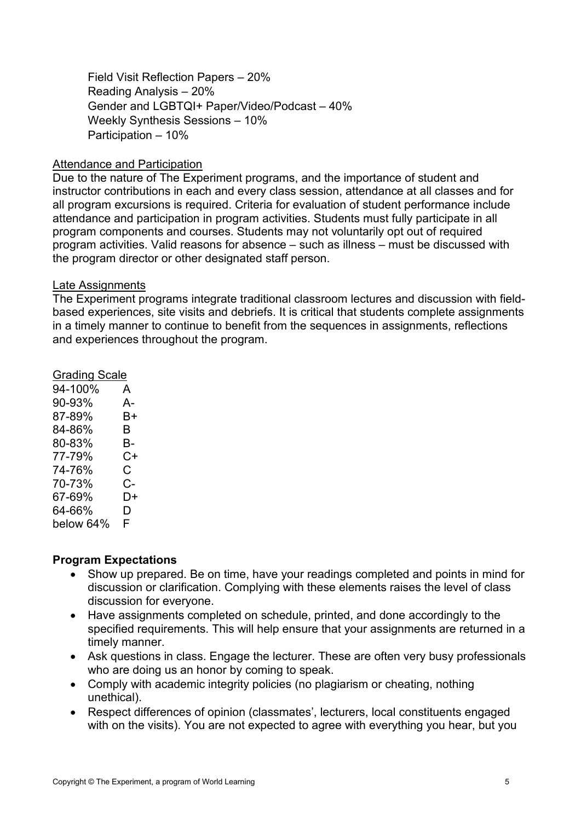Field Visit Reflection Papers – 20% Reading Analysis – 20% Gender and LGBTQI+ Paper/Video/Podcast – 40% Weekly Synthesis Sessions – 10% Participation – 10%

#### Attendance and Participation

Due to the nature of The Experiment programs, and the importance of student and instructor contributions in each and every class session, attendance at all classes and for all program excursions is required. Criteria for evaluation of student performance include attendance and participation in program activities. Students must fully participate in all program components and courses. Students may not voluntarily opt out of required program activities. Valid reasons for absence – such as illness – must be discussed with the program director or other designated staff person.

#### Late Assignments

The Experiment programs integrate traditional classroom lectures and discussion with fieldbased experiences, site visits and debriefs. It is critical that students complete assignments in a timely manner to continue to benefit from the sequences in assignments, reflections and experiences throughout the program.

Grading Scale 94-100% A 90-93% A-87-89% B+ 84-86% B 80-83% B-77-79% C+ 74-76% C 70-73% C-67-69% D+ 64-66% D below 64% F

### **Program Expectations**

- Show up prepared. Be on time, have your readings completed and points in mind for discussion or clarification. Complying with these elements raises the level of class discussion for everyone.
- Have assignments completed on schedule, printed, and done accordingly to the specified requirements. This will help ensure that your assignments are returned in a timely manner.
- Ask questions in class. Engage the lecturer. These are often very busy professionals who are doing us an honor by coming to speak.
- Comply with academic integrity policies (no plagiarism or cheating, nothing unethical).
- Respect differences of opinion (classmates', lecturers, local constituents engaged with on the visits). You are not expected to agree with everything you hear, but you